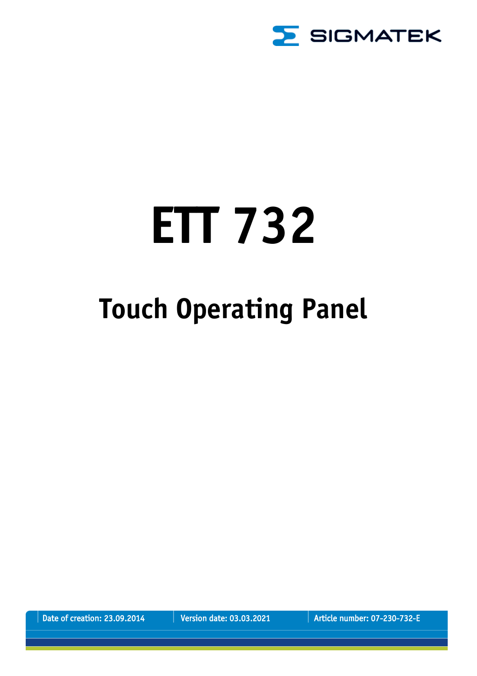

# **ETT 732**

## **Touch Operating Panel**

Date of creation: 23.09.2014 Version date: 03.03.2021 Article number: 07-230-732-E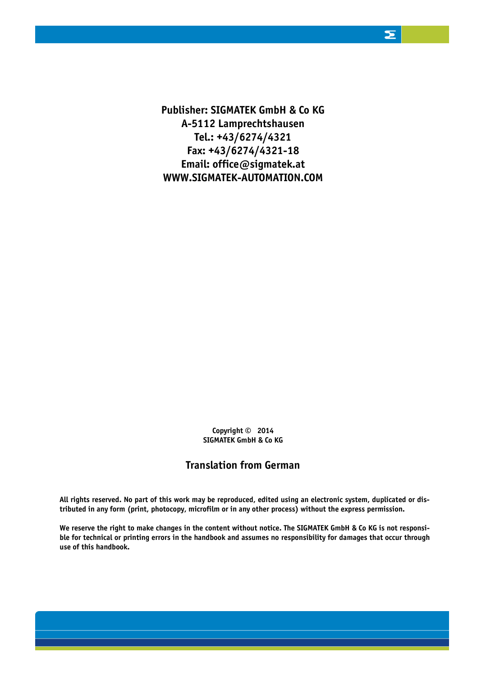**Publisher: SIGMATEK GmbH & Co KG A-5112 Lamprechtshausen Tel.: +43/6274/4321 Fax: +43/6274/4321-18 Email: office@sigmatek.at WWW.SIGMATEK-AUTOMATION.COM**

> **Copyright © 2014 SIGMATEK GmbH & Co KG**

#### **Translation from German**

**All rights reserved. No part of this work may be reproduced, edited using an electronic system, duplicated or distributed in any form (print, photocopy, microfilm or in any other process) without the express permission.**

**We reserve the right to make changes in the content without notice. The SIGMATEK GmbH & Co KG is not responsible for technical or printing errors in the handbook and assumes no responsibility for damages that occur through use of this handbook.**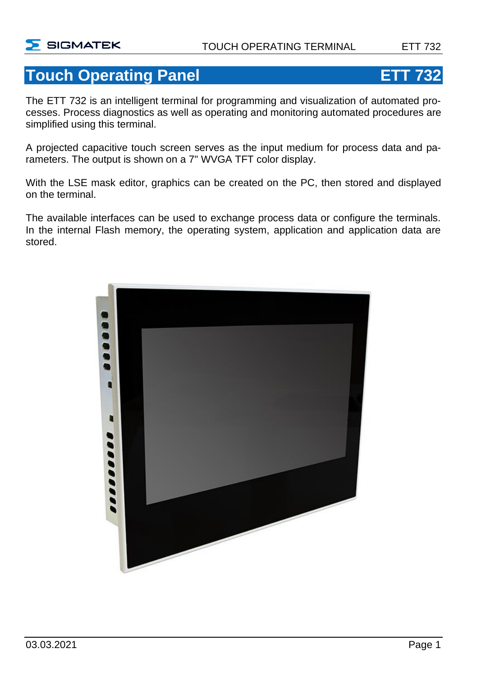## **Touch Operating Panel ETT 732**

The ETT 732 is an intelligent terminal for programming and visualization of automated processes. Process diagnostics as well as operating and monitoring automated procedures are simplified using this terminal.

A projected capacitive touch screen serves as the input medium for process data and parameters. The output is shown on a 7" WVGA TFT color display.

With the LSE mask editor, graphics can be created on the PC, then stored and displayed on the terminal.

The available interfaces can be used to exchange process data or configure the terminals. In the internal Flash memory, the operating system, application and application data are stored.

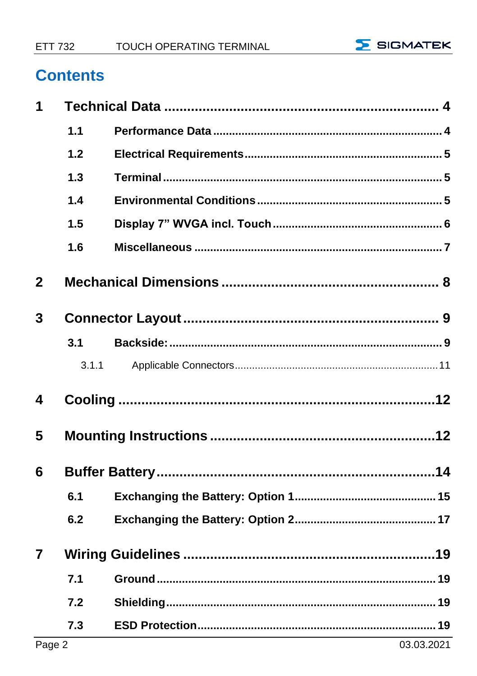

## **Contents**

| 1              |       |  |  |
|----------------|-------|--|--|
|                | 1.1   |  |  |
|                | 1.2   |  |  |
|                | 1.3   |  |  |
|                | 1.4   |  |  |
|                | 1.5   |  |  |
|                | 1.6   |  |  |
| $\overline{2}$ |       |  |  |
| 3              |       |  |  |
|                | 3.1   |  |  |
|                | 3.1.1 |  |  |
| 4              |       |  |  |
| 5              |       |  |  |
| 6              |       |  |  |
|                | 6.1   |  |  |
|                | 6.2   |  |  |
| $\overline{7}$ |       |  |  |
|                | 7.1   |  |  |
|                | 7.2   |  |  |
|                | 7.3   |  |  |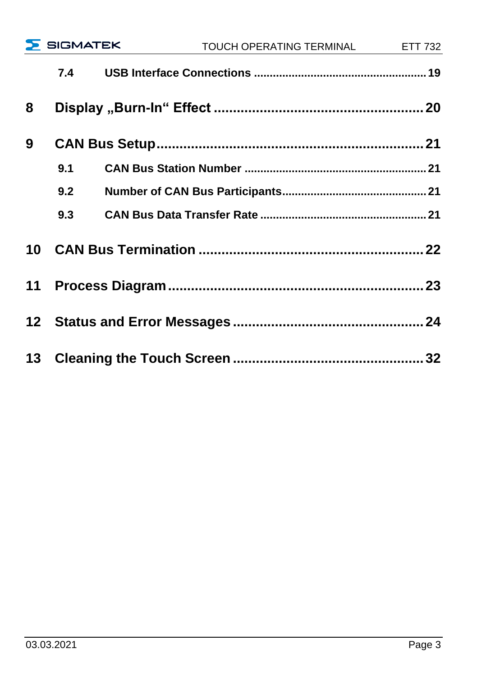|   |     | $\sum$ SIGMATEK | TOUCH OPERATING TERMINAL ETT 732 |  |
|---|-----|-----------------|----------------------------------|--|
|   | 7.4 |                 |                                  |  |
| 8 |     |                 |                                  |  |
| 9 |     |                 |                                  |  |
|   | 9.1 |                 |                                  |  |
|   | 9.2 |                 |                                  |  |
|   | 9.3 |                 |                                  |  |
|   |     |                 |                                  |  |
|   |     |                 |                                  |  |
|   |     |                 |                                  |  |
|   |     |                 |                                  |  |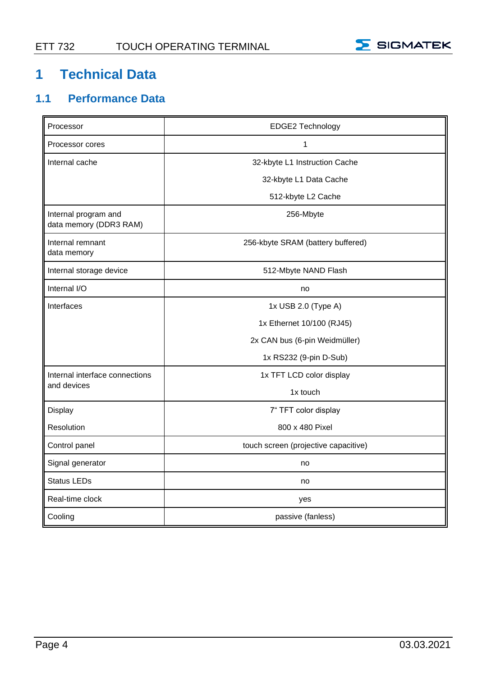

## <span id="page-5-0"></span>**1 Technical Data**

#### <span id="page-5-1"></span>**1.1 Performance Data**

| Processor                                      | EDGE2 Technology                     |  |
|------------------------------------------------|--------------------------------------|--|
| Processor cores                                | 1                                    |  |
| Internal cache                                 | 32-kbyte L1 Instruction Cache        |  |
|                                                | 32-kbyte L1 Data Cache               |  |
|                                                | 512-kbyte L2 Cache                   |  |
| Internal program and<br>data memory (DDR3 RAM) | 256-Mbyte                            |  |
| Internal remnant<br>data memory                | 256-kbyte SRAM (battery buffered)    |  |
| Internal storage device                        | 512-Mbyte NAND Flash                 |  |
| Internal I/O                                   | no                                   |  |
| Interfaces                                     | 1x USB 2.0 (Type A)                  |  |
|                                                | 1x Ethernet 10/100 (RJ45)            |  |
|                                                | 2x CAN bus (6-pin Weidmüller)        |  |
|                                                | 1x RS232 (9-pin D-Sub)               |  |
| Internal interface connections                 | 1x TFT LCD color display             |  |
| and devices                                    | 1x touch                             |  |
| Display                                        | 7" TFT color display                 |  |
| Resolution                                     | 800 x 480 Pixel                      |  |
| Control panel                                  | touch screen (projective capacitive) |  |
| Signal generator                               | no                                   |  |
| Status LEDs                                    | no                                   |  |
| Real-time clock                                | yes                                  |  |
| Cooling                                        | passive (fanless)                    |  |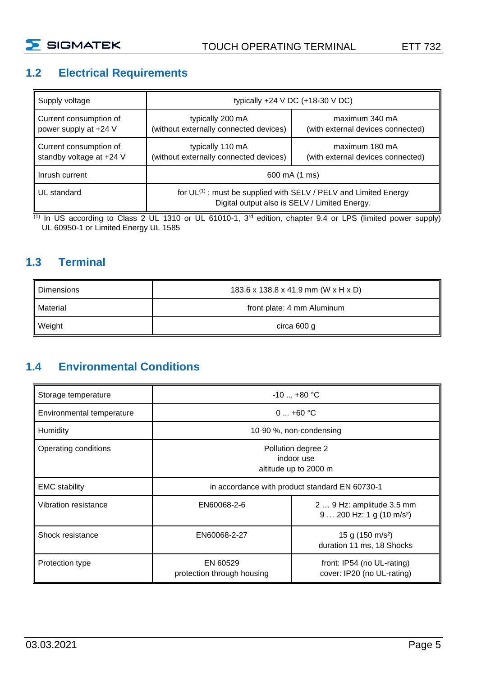

#### <span id="page-6-0"></span>**1.2 Electrical Requirements**

| Supply voltage                                     | typically $+24$ V DC $(+18-30$ V DC)                                                                                   |                                                     |
|----------------------------------------------------|------------------------------------------------------------------------------------------------------------------------|-----------------------------------------------------|
| Current consumption of<br>power supply at +24 V    | typically 200 mA<br>(without externally connected devices)                                                             | maximum 340 mA<br>(with external devices connected) |
| Current consumption of<br>standby voltage at +24 V | typically 110 mA<br>(without externally connected devices)                                                             | maximum 180 mA<br>(with external devices connected) |
| Inrush current                                     | 600 mA (1 ms)                                                                                                          |                                                     |
| UL standard                                        | for $UL^{(1)}$ : must be supplied with SELV / PELV and Limited Energy<br>Digital output also is SELV / Limited Energy. |                                                     |

(1) In US according to Class 2 UL 1310 or UL 61010-1, 3<sup>rd</sup> edition, chapter 9.4 or LPS (limited power supply) UL 60950-1 or Limited Energy UL 1585

#### <span id="page-6-1"></span>**1.3 Terminal**

| Dimensions | 183.6 x 138.8 x 41.9 mm (W x H x D) |
|------------|-------------------------------------|
| Material   | front plate: 4 mm Aluminum          |
| Weight     | circa 600 g                         |

#### <span id="page-6-2"></span>**1.4 Environmental Conditions**

| Storage temperature       | $-10+80 °C$                                               |                                                                     |
|---------------------------|-----------------------------------------------------------|---------------------------------------------------------------------|
| Environmental temperature | $0+60$ °C                                                 |                                                                     |
| Humidity                  | 10-90 %, non-condensing                                   |                                                                     |
| Operating conditions      | Pollution degree 2<br>indoor use<br>altitude up to 2000 m |                                                                     |
| <b>EMC</b> stability      |                                                           | in accordance with product standard EN 60730-1                      |
| Vibration resistance      | EN60068-2-6                                               | 2  9 Hz: amplitude 3.5 mm<br>$9 200$ Hz: 1 g (10 m/s <sup>2</sup> ) |
| Shock resistance          | EN60068-2-27                                              | 15 g (150 m/s <sup>2</sup> )<br>duration 11 ms, 18 Shocks           |
| Protection type           | EN 60529<br>protection through housing                    | front: IP54 (no UL-rating)<br>cover: IP20 (no UL-rating)            |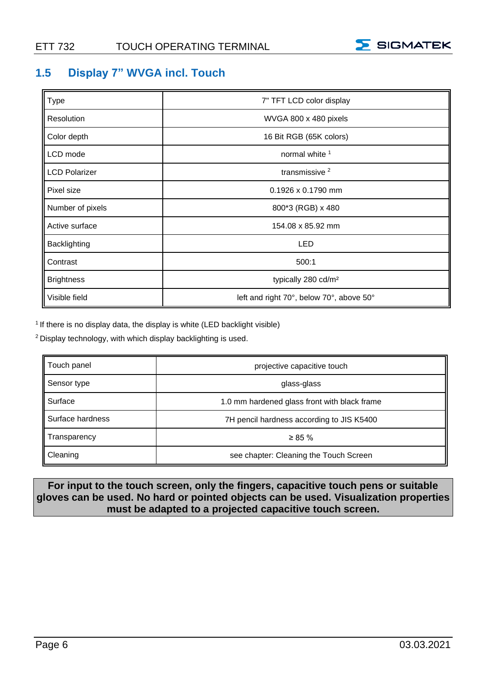

#### <span id="page-7-0"></span>**1.5 Display 7" WVGA incl. Touch**

| Type                 | 7" TFT LCD color display                 |
|----------------------|------------------------------------------|
| Resolution           | WVGA 800 x 480 pixels                    |
| Color depth          | 16 Bit RGB (65K colors)                  |
| LCD mode             | normal white <sup>1</sup>                |
| <b>LCD Polarizer</b> | transmissive <sup>2</sup>                |
| Pixel size           | $0.1926 \times 0.1790$ mm                |
| Number of pixels     | 800*3 (RGB) x 480                        |
| Active surface       | 154.08 x 85.92 mm                        |
| Backlighting         | LED                                      |
| Contrast             | 500:1                                    |
| <b>Brightness</b>    | typically 280 cd/m <sup>2</sup>          |
| Visible field        | left and right 70°, below 70°, above 50° |

<sup>1</sup> If there is no display data, the display is white (LED backlight visible)

<sup>2</sup> Display technology, with which display backlighting is used.

| Touch panel      | projective capacitive touch                  |
|------------------|----------------------------------------------|
| Sensor type      | glass-glass                                  |
| Surface          | 1.0 mm hardened glass front with black frame |
| Surface hardness | 7H pencil hardness according to JIS K5400    |
| Transparency     | $\geq 85 \%$                                 |
| Cleaning         | see chapter: Cleaning the Touch Screen       |

**For input to the touch screen, only the fingers, capacitive touch pens or suitable gloves can be used. No hard or pointed objects can be used. Visualization properties must be adapted to a projected capacitive touch screen.**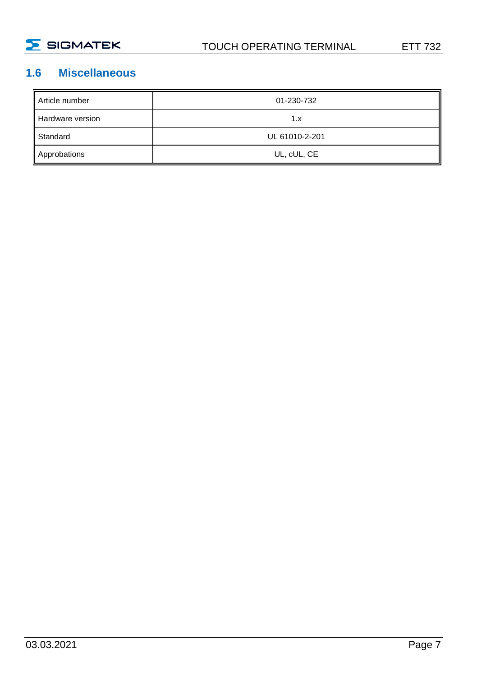

#### <span id="page-8-0"></span>**1.6 Miscellaneous**

| Article number   | 01-230-732     |
|------------------|----------------|
| Hardware version | 1.x            |
| Standard         | UL 61010-2-201 |
| Approbations     | UL, cUL, CE    |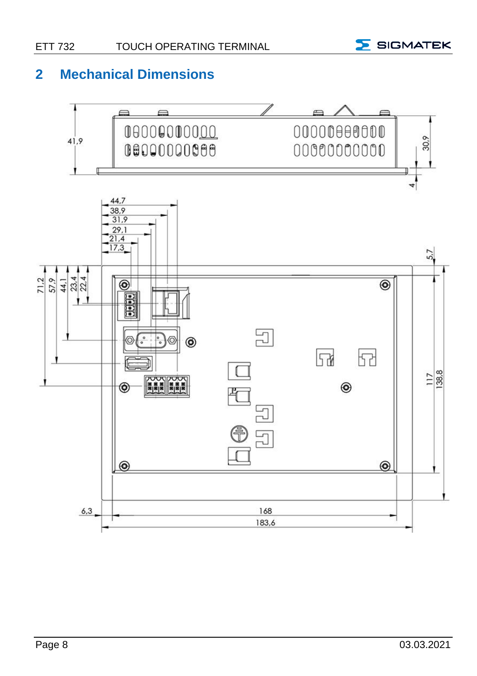

#### <span id="page-9-0"></span>**2 Mechanical Dimensions**

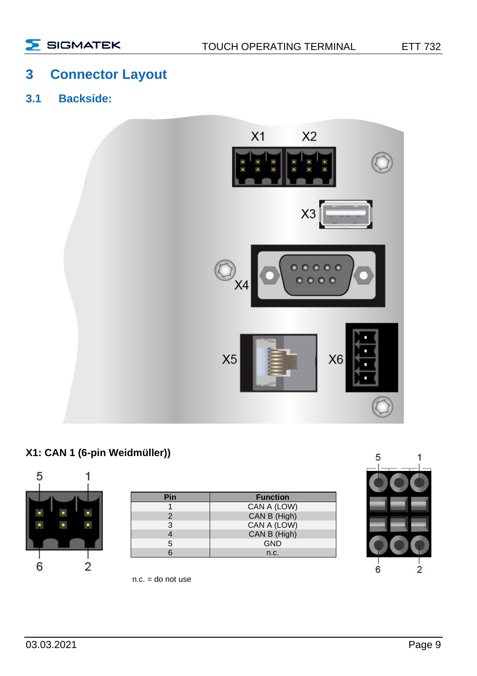#### <span id="page-10-0"></span>**3 Connector Layout**

<span id="page-10-1"></span>**3.1 Backside:**



#### **X1: CAN 1 (6-pin Weidmüller))**



| Pin | <b>Function</b> |
|-----|-----------------|
|     | CAN A (LOW)     |
|     | CAN B (High)    |
| 3   | CAN A (LOW)     |
|     | CAN B (High)    |
| 5   | <b>GND</b>      |
|     | n.c.            |



 $n.c. =$  do not use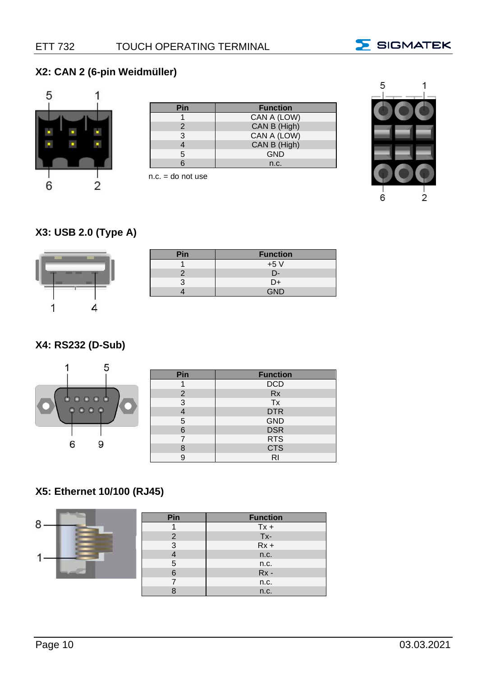

#### **X2: CAN 2 (6-pin Weidmüller)**



| Pin | <b>Function</b> |
|-----|-----------------|
|     | CAN A (LOW)     |
|     | CAN B (High)    |
|     | CAN A (LOW)     |
|     | CAN B (High)    |
|     | <b>GND</b>      |
|     | n.c.            |

 $n.c. =$  do not use



#### **X3: USB 2.0 (Type A)**



| ٦in. | <b>Function</b> |
|------|-----------------|
|      | $+5V$           |
|      | - 11            |
|      | D+              |
|      |                 |

#### **X4: RS232 (D-Sub)**

|                             | Pin            | <b>Function</b> |
|-----------------------------|----------------|-----------------|
|                             |                | <b>DCD</b>      |
|                             | $\overline{2}$ | <b>Rx</b>       |
| $\circ\circ\circ\circ\circ$ | 3              | Tx              |
|                             |                | <b>DTR</b>      |
|                             | 5              | <b>GND</b>      |
|                             | 6              | <b>DSR</b>      |
|                             |                | <b>RTS</b>      |
| У                           | 8              | <b>CTS</b>      |
|                             | 9              | RI              |

#### **X5: Ethernet 10/100 (RJ45)**

|   | Pin | <b>Function</b> |
|---|-----|-----------------|
| 8 |     | $Tx +$          |
|   |     | Tx-             |
|   |     | $Rx +$          |
|   |     | n.c.            |
|   | 5   | n.c.            |
|   |     | $Rx -$          |
|   |     | n.c.            |
|   |     | n.c.            |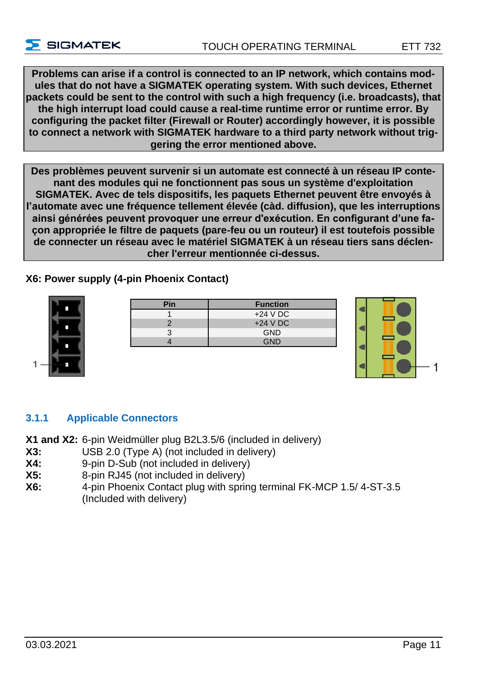**Problems can arise if a control is connected to an IP network, which contains modules that do not have a SIGMATEK operating system. With such devices, Ethernet packets could be sent to the control with such a high frequency (i.e. broadcasts), that the high interrupt load could cause a real-time runtime error or runtime error. By configuring the packet filter (Firewall or Router) accordingly however, it is possible to connect a network with SIGMATEK hardware to a third party network without triggering the error mentioned above.**

**Des problèmes peuvent survenir si un automate est connecté à un réseau IP contenant des modules qui ne fonctionnent pas sous un système d'exploitation SIGMATEK. Avec de tels dispositifs, les paquets Ethernet peuvent être envoyés à l'automate avec une fréquence tellement élevée (càd. diffusion), que les interruptions ainsi générées peuvent provoquer une erreur d'exécution. En configurant d'une façon appropriée le filtre de paquets (pare-feu ou un routeur) il est toutefois possible de connecter un réseau avec le matériel SIGMATEK à un réseau tiers sans déclencher l'erreur mentionnée ci-dessus.**

**X6: Power supply (4-pin Phoenix Contact)**



 $\overline{\phantom{a}}$  SIGMATEK

| Pin | <b>Function</b> |
|-----|-----------------|
|     | $+24$ V DC      |
|     | $+24$ V DC      |
|     | <b>GND</b>      |
|     | GND             |



#### <span id="page-12-0"></span>**3.1.1 Applicable Connectors**

**X1 and X2:** 6-pin Weidmüller plug B2L3.5/6 (included in delivery)

- **X3:** USB 2.0 (Type A) (not included in delivery)
- **X4:** 9-pin D-Sub (not included in delivery)
- **X5:** 8-pin RJ45 (not included in delivery)
- **X6:** 4-pin Phoenix Contact plug with spring terminal FK-MCP 1.5/ 4-ST-3.5 (Included with delivery)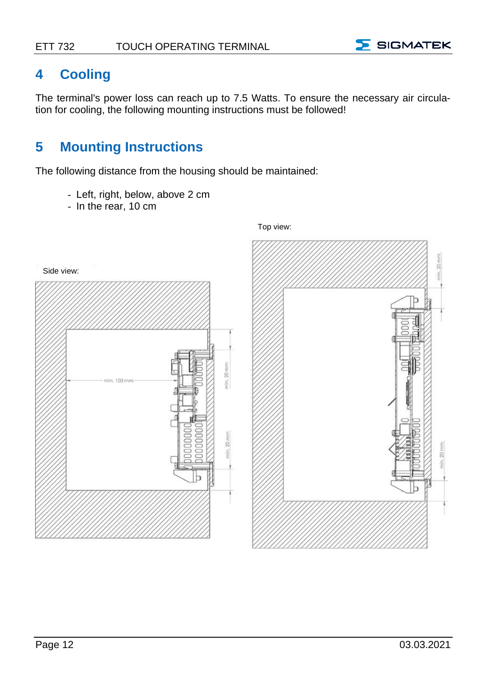

#### <span id="page-13-0"></span>**4 Cooling**

The terminal's power loss can reach up to 7.5 Watts. To ensure the necessary air circulation for cooling, the following mounting instructions must be followed!

## <span id="page-13-1"></span>**5 Mounting Instructions**

The following distance from the housing should be maintained:

- Left, right, below, above 2 cm
- In the rear, 10 cm

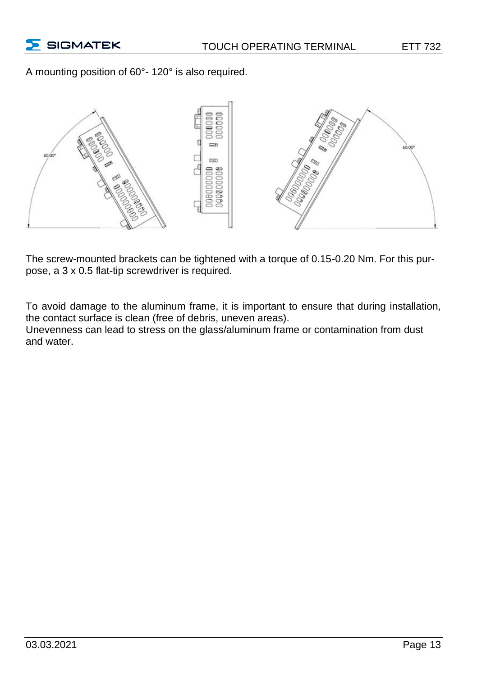A mounting position of 60°- 120° is also required.



The screw-mounted brackets can be tightened with a torque of 0.15-0.20 Nm. For this purpose, a 3 x 0.5 flat-tip screwdriver is required.

To avoid damage to the aluminum frame, it is important to ensure that during installation, the contact surface is clean (free of debris, uneven areas).

Unevenness can lead to stress on the glass/aluminum frame or contamination from dust and water.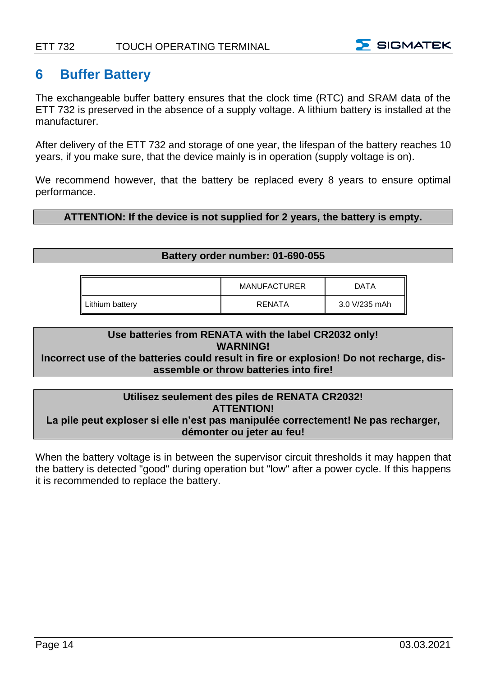

#### <span id="page-15-0"></span>**6 Buffer Battery**

The exchangeable buffer battery ensures that the clock time (RTC) and SRAM data of the ETT 732 is preserved in the absence of a supply voltage. A lithium battery is installed at the manufacturer.

After delivery of the ETT 732 and storage of one year, the lifespan of the battery reaches 10 years, if you make sure, that the device mainly is in operation (supply voltage is on).

We recommend however, that the battery be replaced every 8 years to ensure optimal performance.

#### **ATTENTION: If the device is not supplied for 2 years, the battery is empty.**

#### **Battery order number: 01-690-055**

|                 | <b>MANUFACTURER</b> | DATA          |
|-----------------|---------------------|---------------|
| Lithium battery | RENATA              | 3.0 V/235 mAh |

#### **Use batteries from RENATA with the label CR2032 only! WARNING!**

#### **Incorrect use of the batteries could result in fire or explosion! Do not recharge, disassemble or throw batteries into fire!**

#### **Utilisez seulement des piles de RENATA CR2032! ATTENTION! La pile peut exploser si elle n'est pas manipulée correctement! Ne pas recharger, démonter ou jeter au feu!**

When the battery voltage is in between the supervisor circuit thresholds it may happen that the battery is detected "good" during operation but "low" after a power cycle. If this happens it is recommended to replace the battery.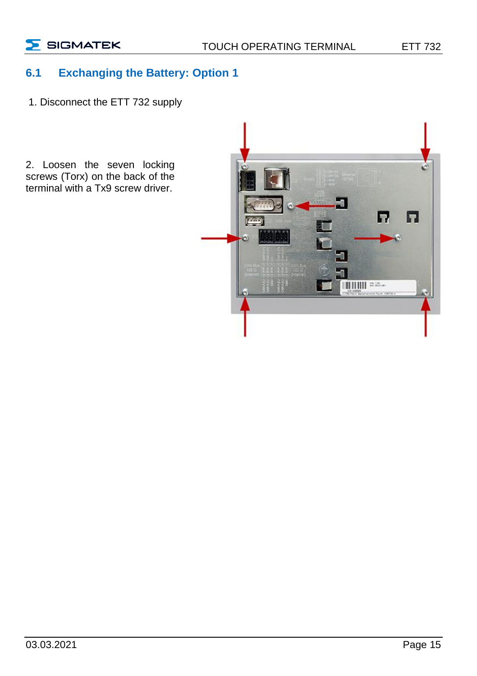$\sum$  SIGMATEK

#### <span id="page-16-0"></span>**6.1 Exchanging the Battery: Option 1**

1. Disconnect the ETT 732 supply

2. Loosen the seven locking screws (Torx) on the back of the terminal with a Tx9 screw driver.

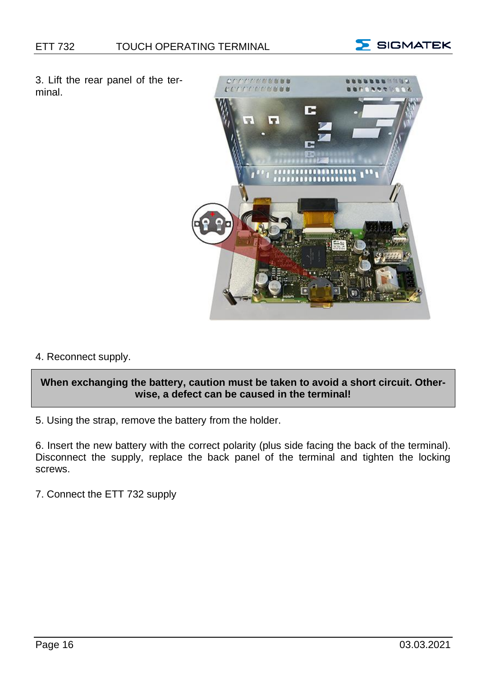

3. Lift the rear panel of the terminal.



4. Reconnect supply.

#### **When exchanging the battery, caution must be taken to avoid a short circuit. Otherwise, a defect can be caused in the terminal!**

5. Using the strap, remove the battery from the holder.

6. Insert the new battery with the correct polarity (plus side facing the back of the terminal). Disconnect the supply, replace the back panel of the terminal and tighten the locking screws.

7. Connect the ETT 732 supply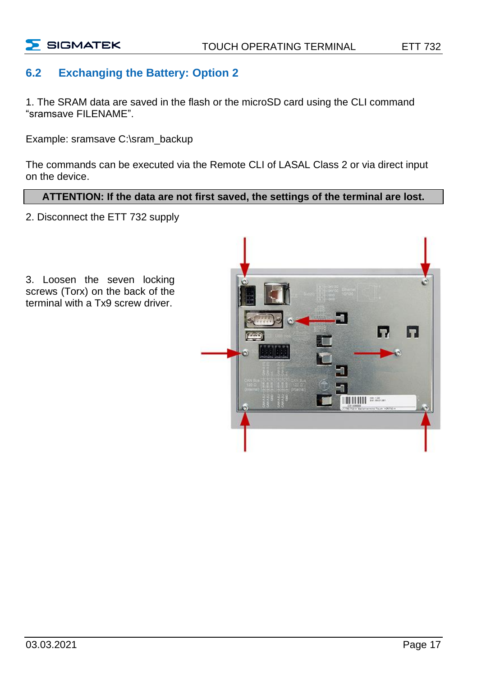

#### <span id="page-18-0"></span>**6.2 Exchanging the Battery: Option 2**

1. The SRAM data are saved in the flash or the microSD card using the CLI command "sramsave FILENAME".

Example: sramsave C:\sram\_backup

The commands can be executed via the Remote CLI of LASAL Class 2 or via direct input on the device.

#### **ATTENTION: If the data are not first saved, the settings of the terminal are lost.**

2. Disconnect the ETT 732 supply



3. Loosen the seven locking screws (Torx) on the back of the terminal with a Tx9 screw driver.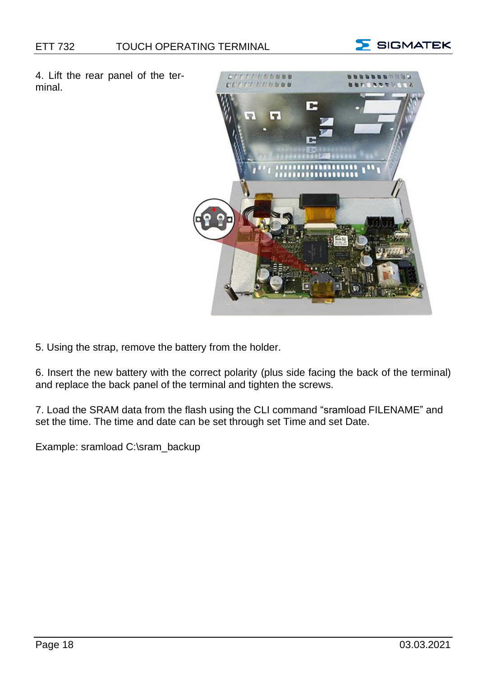

4. Lift the rear panel of the terminal.



5. Using the strap, remove the battery from the holder.

6. Insert the new battery with the correct polarity (plus side facing the back of the terminal) and replace the back panel of the terminal and tighten the screws.

7. Load the SRAM data from the flash using the CLI command "sramload FILENAME" and set the time. The time and date can be set through set Time and set Date.

Example: sramload C:\sram\_backup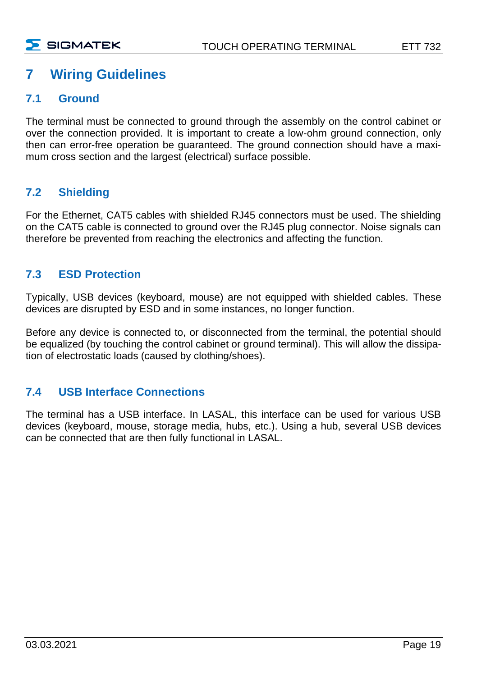#### <span id="page-20-0"></span>**7 Wiring Guidelines**

#### <span id="page-20-1"></span>**7.1 Ground**

The terminal must be connected to ground through the assembly on the control cabinet or over the connection provided. It is important to create a low-ohm ground connection, only then can error-free operation be guaranteed. The ground connection should have a maximum cross section and the largest (electrical) surface possible.

#### <span id="page-20-2"></span>**7.2 Shielding**

For the Ethernet, CAT5 cables with shielded RJ45 connectors must be used. The shielding on the CAT5 cable is connected to ground over the RJ45 plug connector. Noise signals can therefore be prevented from reaching the electronics and affecting the function.

#### <span id="page-20-3"></span>**7.3 ESD Protection**

Typically, USB devices (keyboard, mouse) are not equipped with shielded cables. These devices are disrupted by ESD and in some instances, no longer function.

Before any device is connected to, or disconnected from the terminal, the potential should be equalized (by touching the control cabinet or ground terminal). This will allow the dissipation of electrostatic loads (caused by clothing/shoes).

#### <span id="page-20-4"></span>**7.4 USB Interface Connections**

The terminal has a USB interface. In LASAL, this interface can be used for various USB devices (keyboard, mouse, storage media, hubs, etc.). Using a hub, several USB devices can be connected that are then fully functional in LASAL.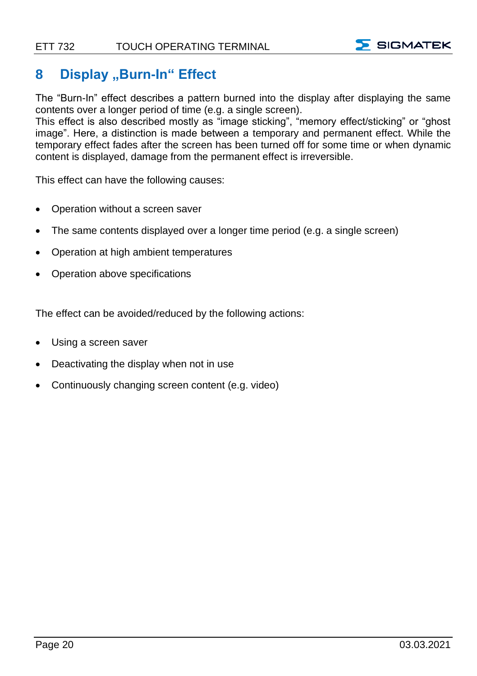

#### <span id="page-21-0"></span>**8 Display** "Burn-In" Effect

The "Burn-In" effect describes a pattern burned into the display after displaying the same contents over a longer period of time (e.g. a single screen).

This effect is also described mostly as "image sticking", "memory effect/sticking" or "ghost image". Here, a distinction is made between a temporary and permanent effect. While the temporary effect fades after the screen has been turned off for some time or when dynamic content is displayed, damage from the permanent effect is irreversible.

This effect can have the following causes:

- Operation without a screen saver
- The same contents displayed over a longer time period (e.g. a single screen)
- Operation at high ambient temperatures
- Operation above specifications

The effect can be avoided/reduced by the following actions:

- Using a screen saver
- Deactivating the display when not in use
- Continuously changing screen content (e.g. video)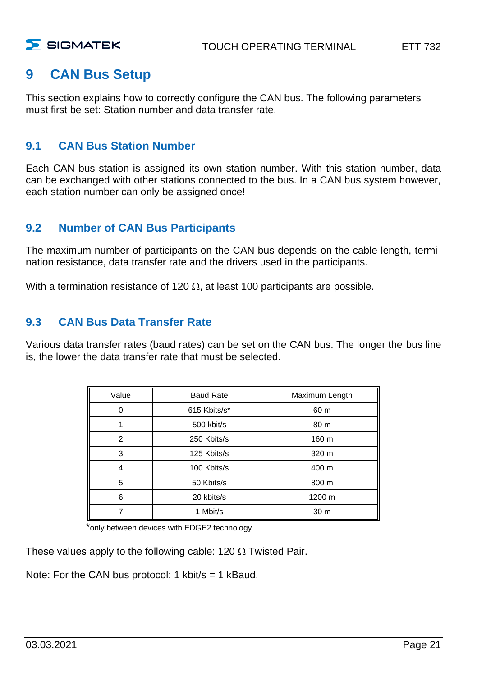#### <span id="page-22-0"></span>**9 CAN Bus Setup**

This section explains how to correctly configure the CAN bus. The following parameters must first be set: Station number and data transfer rate.

#### <span id="page-22-1"></span>**9.1 CAN Bus Station Number**

Each CAN bus station is assigned its own station number. With this station number, data can be exchanged with other stations connected to the bus. In a CAN bus system however, each station number can only be assigned once!

#### <span id="page-22-2"></span>**9.2 Number of CAN Bus Participants**

The maximum number of participants on the CAN bus depends on the cable length, termination resistance, data transfer rate and the drivers used in the participants.

With a termination resistance of 120  $\Omega$ , at least 100 participants are possible.

#### <span id="page-22-3"></span>**9.3 CAN Bus Data Transfer Rate**

Various data transfer rates (baud rates) can be set on the CAN bus. The longer the bus line is, the lower the data transfer rate that must be selected.

| Value | <b>Baud Rate</b> | Maximum Length |
|-------|------------------|----------------|
| 0     | 615 Kbits/s*     | 60 m           |
|       | 500 kbit/s       | 80 m           |
| 2     | 250 Kbits/s      | 160 m          |
| 3     | 125 Kbits/s      | 320 m          |
| 4     | 100 Kbits/s      | 400 m          |
| 5     | 50 Kbits/s       | 800 m          |
| 6     | 20 kbits/s       | 1200 m         |
|       | 1 Mbit/s         | 30 m           |

\*only between devices with EDGE2 technology

These values apply to the following cable: 120  $\Omega$  Twisted Pair.

Note: For the CAN bus protocol: 1 kbit/s = 1 kBaud.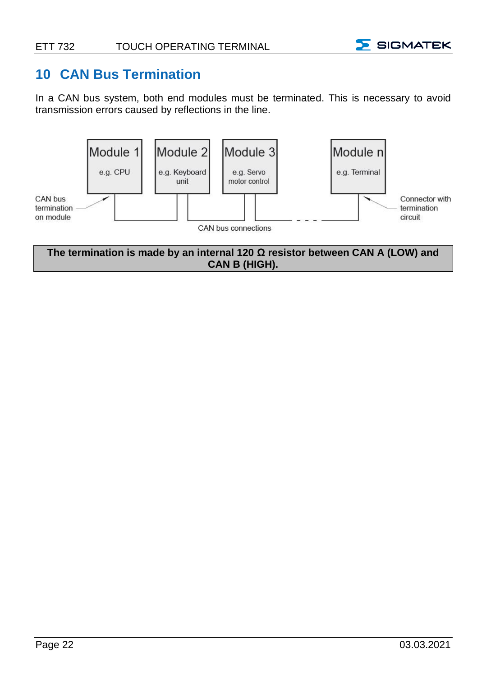

#### <span id="page-23-0"></span>**10 CAN Bus Termination**

In a CAN bus system, both end modules must be terminated. This is necessary to avoid transmission errors caused by reflections in the line.



**The termination is made by an internal 120 Ω resistor between CAN A (LOW) and CAN B (HIGH).**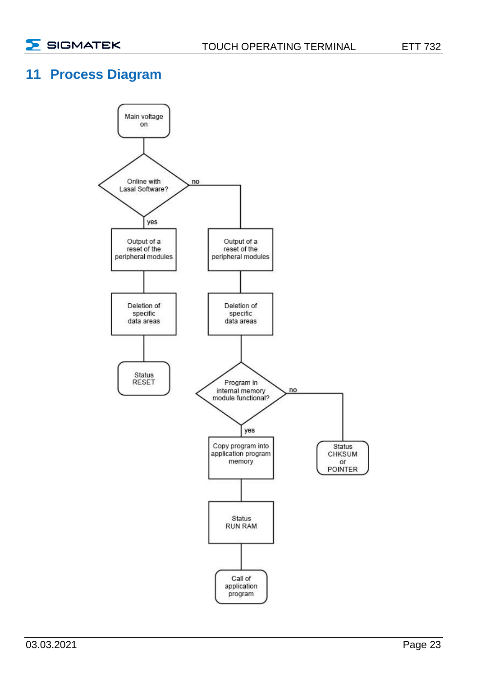#### <span id="page-24-0"></span>**11 Process Diagram**

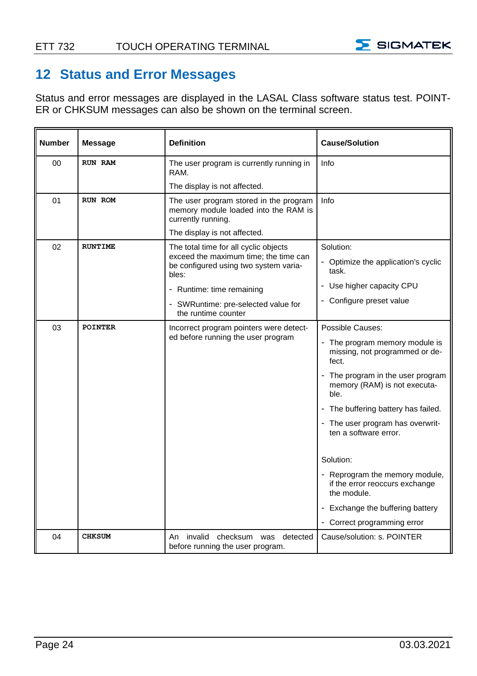

#### <span id="page-25-0"></span>**12 Status and Error Messages**

Status and error messages are displayed in the LASAL Class software status test. POINT-ER or CHKSUM messages can also be shown on the terminal screen.

| <b>Number</b>  | Message        | <b>Definition</b>                                                                                    | <b>Cause/Solution</b>                                                           |
|----------------|----------------|------------------------------------------------------------------------------------------------------|---------------------------------------------------------------------------------|
| 0 <sub>0</sub> | RUN RAM        | The user program is currently running in<br>RAM.                                                     | Info                                                                            |
|                |                | The display is not affected.                                                                         |                                                                                 |
| 01             | RUN ROM        | The user program stored in the program<br>memory module loaded into the RAM is<br>currently running. | <b>Info</b>                                                                     |
|                |                | The display is not affected.                                                                         |                                                                                 |
| 02             | <b>RUNTIME</b> | The total time for all cyclic objects                                                                | Solution:                                                                       |
|                |                | exceed the maximum time; the time can<br>be configured using two system varia-<br>bles:              | - Optimize the application's cyclic<br>task.                                    |
|                |                | - Runtime: time remaining                                                                            | - Use higher capacity CPU                                                       |
|                |                | - SWRuntime: pre-selected value for<br>the runtime counter                                           | - Configure preset value                                                        |
| 03             | <b>POINTER</b> | Incorrect program pointers were detect-                                                              | Possible Causes:                                                                |
|                |                | ed before running the user program                                                                   | - The program memory module is<br>missing, not programmed or de-<br>fect.       |
|                |                |                                                                                                      | - The program in the user program<br>memory (RAM) is not executa-<br>ble.       |
|                |                |                                                                                                      | - The buffering battery has failed.                                             |
|                |                |                                                                                                      | - The user program has overwrit-<br>ten a software error.                       |
|                |                |                                                                                                      | Solution:                                                                       |
|                |                |                                                                                                      | - Reprogram the memory module,<br>if the error reoccurs exchange<br>the module. |
|                |                |                                                                                                      | - Exchange the buffering battery                                                |
|                |                |                                                                                                      | - Correct programming error                                                     |
| 04             | <b>CHKSUM</b>  | An invalid checksum was detected<br>before running the user program.                                 | Cause/solution: s. POINTER                                                      |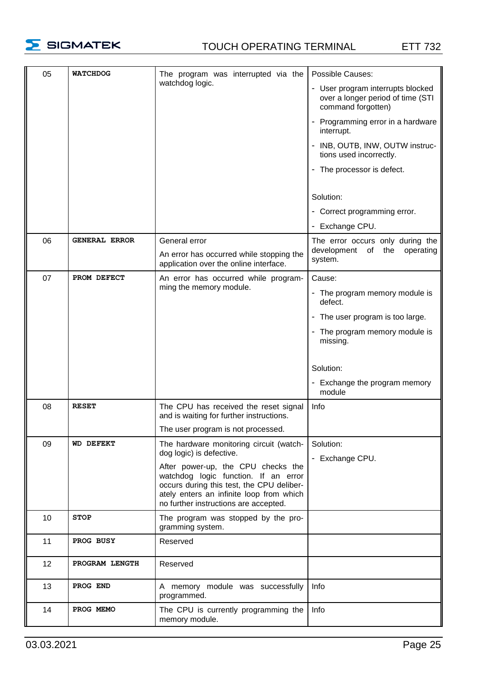

#### TOUCH OPERATING TERMINAL ETT 732

| 05 | <b>WATCHDOG</b>  | The program was interrupted via the                                                                                                                                                                          | Possible Causes:                                                                             |
|----|------------------|--------------------------------------------------------------------------------------------------------------------------------------------------------------------------------------------------------------|----------------------------------------------------------------------------------------------|
|    |                  | watchdog logic.                                                                                                                                                                                              | - User program interrupts blocked<br>over a longer period of time (STI<br>command forgotten) |
|    |                  |                                                                                                                                                                                                              | - Programming error in a hardware<br>interrupt.                                              |
|    |                  |                                                                                                                                                                                                              | - INB, OUTB, INW, OUTW instruc-<br>tions used incorrectly.                                   |
|    |                  |                                                                                                                                                                                                              | - The processor is defect.                                                                   |
|    |                  |                                                                                                                                                                                                              | Solution:                                                                                    |
|    |                  |                                                                                                                                                                                                              | - Correct programming error.                                                                 |
|    |                  |                                                                                                                                                                                                              | - Exchange CPU.                                                                              |
| 06 | GENERAL ERROR    | General error                                                                                                                                                                                                | The error occurs only during the                                                             |
|    |                  | An error has occurred while stopping the<br>application over the online interface.                                                                                                                           | development of the<br>operating<br>system.                                                   |
| 07 | PROM DEFECT      | An error has occurred while program-                                                                                                                                                                         | Cause:                                                                                       |
|    |                  | ming the memory module.                                                                                                                                                                                      | - The program memory module is<br>defect.                                                    |
|    |                  |                                                                                                                                                                                                              | - The user program is too large.                                                             |
|    |                  |                                                                                                                                                                                                              | - The program memory module is<br>missing.                                                   |
|    |                  |                                                                                                                                                                                                              |                                                                                              |
|    |                  |                                                                                                                                                                                                              | Solution:                                                                                    |
|    |                  |                                                                                                                                                                                                              | - Exchange the program memory<br>module                                                      |
| 08 | <b>RESET</b>     | The CPU has received the reset signal<br>and is waiting for further instructions.                                                                                                                            | Info                                                                                         |
|    |                  | The user program is not processed.                                                                                                                                                                           |                                                                                              |
| 09 | <b>WD DEFEKT</b> | The hardware monitoring circuit (watch-<br>dog logic) is defective.                                                                                                                                          | Solution:<br>- Exchange CPU.                                                                 |
|    |                  | After power-up, the CPU checks the<br>watchdog logic function. If an error<br>occurs during this test, the CPU deliber-<br>ately enters an infinite loop from which<br>no further instructions are accepted. |                                                                                              |
| 10 | <b>STOP</b>      | The program was stopped by the pro-<br>gramming system.                                                                                                                                                      |                                                                                              |
| 11 | PROG BUSY        | Reserved                                                                                                                                                                                                     |                                                                                              |
| 12 | PROGRAM LENGTH   | Reserved                                                                                                                                                                                                     |                                                                                              |
| 13 | PROG END         | A memory module was successfully<br>programmed.                                                                                                                                                              | Info                                                                                         |
| 14 | PROG MEMO        | The CPU is currently programming the<br>memory module.                                                                                                                                                       | Info                                                                                         |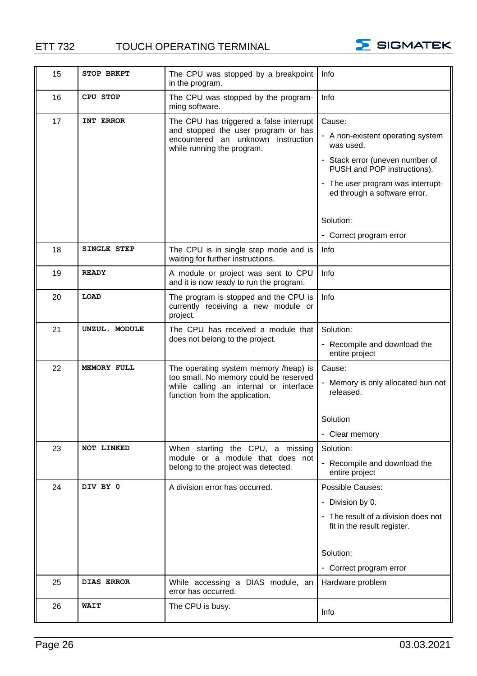#### ETT 732 TOUCH OPERATING TERMINAL



| 15 | STOP BRKPT        | The CPU was stopped by a breakpoint                                                                                | Info                                                               |
|----|-------------------|--------------------------------------------------------------------------------------------------------------------|--------------------------------------------------------------------|
|    |                   | in the program.                                                                                                    |                                                                    |
| 16 | CPU STOP          | The CPU was stopped by the program-<br>ming software.                                                              | Info                                                               |
| 17 | INT ERROR         | The CPU has triggered a false interrupt<br>and stopped the user program or has                                     | Cause:                                                             |
|    |                   | encountered an unknown instruction<br>while running the program.                                                   | - A non-existent operating system<br>was used.                     |
|    |                   |                                                                                                                    | - Stack error (uneven number of<br>PUSH and POP instructions).     |
|    |                   |                                                                                                                    | - The user program was interrupt-<br>ed through a software error.  |
|    |                   |                                                                                                                    | Solution:                                                          |
|    |                   |                                                                                                                    | - Correct program error                                            |
| 18 | SINGLE STEP       | The CPU is in single step mode and is<br>waiting for further instructions.                                         | Info                                                               |
| 19 | <b>READY</b>      | A module or project was sent to CPU<br>and it is now ready to run the program.                                     | Info                                                               |
| 20 | LOAD              | The program is stopped and the CPU is<br>currently receiving a new module or<br>project.                           | Info                                                               |
| 21 | UNZUL. MODULE     | The CPU has received a module that                                                                                 | Solution:                                                          |
|    |                   | does not belong to the project.                                                                                    | - Recompile and download the<br>entire project                     |
| 22 | MEMORY FULL       | The operating system memory /heap) is                                                                              | Cause:                                                             |
|    |                   | too small. No memory could be reserved<br>while calling an internal or interface<br>function from the application. | Memory is only allocated bun not<br>released.                      |
|    |                   |                                                                                                                    | Solution                                                           |
|    |                   |                                                                                                                    | - Clear memory                                                     |
| 23 | NOT LINKED        | When starting the CPU, a missing                                                                                   | Solution:                                                          |
|    |                   | module or a module that does not<br>belong to the project was detected.                                            | - Recompile and download the<br>entire project                     |
| 24 | DIV BY 0          | A division error has occurred.                                                                                     | Possible Causes:                                                   |
|    |                   |                                                                                                                    | - Division by 0.                                                   |
|    |                   |                                                                                                                    | - The result of a division does not<br>fit in the result register. |
|    |                   |                                                                                                                    |                                                                    |
|    |                   |                                                                                                                    | Solution:                                                          |
|    |                   |                                                                                                                    | - Correct program error                                            |
| 25 | <b>DIAS ERROR</b> | While accessing a DIAS module, an<br>error has occurred.                                                           | Hardware problem                                                   |
| 26 | WAIT              | The CPU is busy.                                                                                                   | Info                                                               |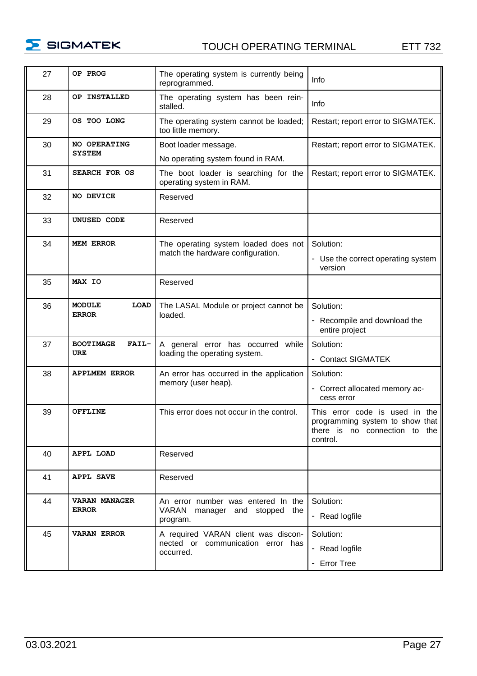

#### TOUCH OPERATING TERMINAL ETT 732

| 27 | OP PROG                              | The operating system is currently being<br>reprogrammed.            | Info                                                                                                           |
|----|--------------------------------------|---------------------------------------------------------------------|----------------------------------------------------------------------------------------------------------------|
| 28 | OP INSTALLED                         | The operating system has been rein-<br>stalled.                     | Info                                                                                                           |
| 29 | OS TOO LONG                          | The operating system cannot be loaded;<br>too little memory.        | Restart; report error to SIGMATEK.                                                                             |
| 30 | NO OPERATING                         | Boot loader message.                                                | Restart; report error to SIGMATEK.                                                                             |
|    | <b>SYSTEM</b>                        | No operating system found in RAM.                                   |                                                                                                                |
| 31 | SEARCH FOR OS                        | The boot loader is searching for the<br>operating system in RAM.    | Restart; report error to SIGMATEK.                                                                             |
| 32 | NO DEVICE                            | Reserved                                                            |                                                                                                                |
| 33 | UNUSED CODE                          | Reserved                                                            |                                                                                                                |
| 34 | <b>MEM ERROR</b>                     | The operating system loaded does not                                | Solution:                                                                                                      |
|    |                                      | match the hardware configuration.                                   | - Use the correct operating system<br>version                                                                  |
| 35 | MAX IO                               | Reserved                                                            |                                                                                                                |
| 36 | LOAD<br>MODULE                       | The LASAL Module or project cannot be                               | Solution:                                                                                                      |
|    | <b>ERROR</b>                         | loaded.                                                             | - Recompile and download the<br>entire project                                                                 |
| 37 | <b>BOOTIMAGE</b><br>FAIL-            | A general error has occurred while                                  | Solution:                                                                                                      |
|    | URE                                  | loading the operating system.                                       | - Contact SIGMATEK                                                                                             |
| 38 | <b>APPLMEM ERROR</b>                 | An error has occurred in the application                            | Solution:                                                                                                      |
|    |                                      | memory (user heap).                                                 | - Correct allocated memory ac-<br>cess error                                                                   |
| 39 | <b>OFFLINE</b>                       | This error does not occur in the control.                           | This error code is used in the<br>programming system to show that<br>there is no connection to the<br>control. |
| 40 | APPL LOAD                            | Reserved                                                            |                                                                                                                |
| 41 | <b>APPL SAVE</b>                     | Reserved                                                            |                                                                                                                |
| 44 | <b>VARAN MANAGER</b><br><b>ERROR</b> | An error number was entered In the<br>VARAN manager and stopped the | Solution:                                                                                                      |
|    |                                      | program.                                                            | - Read logfile                                                                                                 |
| 45 | <b>VARAN ERROR</b>                   | A required VARAN client was discon-                                 | Solution:                                                                                                      |
|    |                                      | nected or communication error has<br>occurred.                      | - Read logfile                                                                                                 |
|    |                                      |                                                                     | - Error Tree                                                                                                   |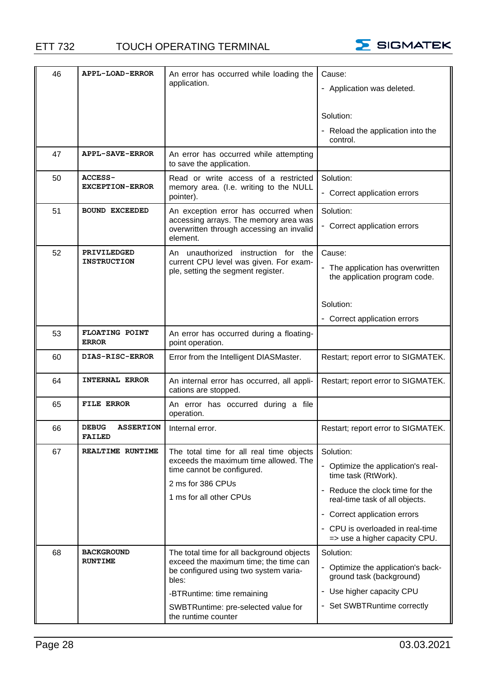

| 46 | <b>APPL-LOAD-ERROR</b>                            | An error has occurred while loading the                                                 | Cause:                                                             |
|----|---------------------------------------------------|-----------------------------------------------------------------------------------------|--------------------------------------------------------------------|
|    |                                                   | application.                                                                            | - Application was deleted.                                         |
|    |                                                   |                                                                                         |                                                                    |
|    |                                                   |                                                                                         | Solution:                                                          |
|    |                                                   |                                                                                         | Reload the application into the<br>control.                        |
| 47 | <b>APPL-SAVE-ERROR</b>                            | An error has occurred while attempting<br>to save the application.                      |                                                                    |
| 50 | <b>ACCESS-</b>                                    | Read or write access of a restricted                                                    | Solution:                                                          |
|    | <b>EXCEPTION-ERROR</b>                            | memory area. (I.e. writing to the NULL<br>pointer).                                     | - Correct application errors                                       |
| 51 | <b>BOUND EXCEEDED</b>                             | An exception error has occurred when<br>accessing arrays. The memory area was           | Solution:                                                          |
|    |                                                   | overwritten through accessing an invalid<br>element.                                    | - Correct application errors                                       |
| 52 | PRIVILEDGED                                       | An unauthorized instruction for the                                                     | Cause:                                                             |
|    | <b>INSTRUCTION</b>                                | current CPU level was given. For exam-<br>ple, setting the segment register.            | - The application has overwritten<br>the application program code. |
|    |                                                   |                                                                                         | Solution:                                                          |
|    |                                                   |                                                                                         | - Correct application errors                                       |
| 53 | FLOATING POINT<br><b>ERROR</b>                    | An error has occurred during a floating-<br>point operation.                            |                                                                    |
| 60 | DIAS-RISC-ERROR                                   | Error from the Intelligent DIASMaster.                                                  | Restart; report error to SIGMATEK.                                 |
| 64 | INTERNAL ERROR                                    | An internal error has occurred, all appli-<br>cations are stopped.                      | Restart; report error to SIGMATEK.                                 |
| 65 | <b>FILE ERROR</b>                                 | An error has occurred during a file<br>operation.                                       |                                                                    |
| 66 | <b>DEBUG</b><br><b>ASSERTION</b><br><b>FAILED</b> | Internal error.                                                                         | Restart; report error to SIGMATEK.                                 |
| 67 | REALTIME RUNTIME                                  | The total time for all real time objects                                                | Solution:                                                          |
|    |                                                   | exceeds the maximum time allowed. The<br>time cannot be configured.                     | Optimize the application's real-<br>time task (RtWork).            |
|    |                                                   | 2 ms for 386 CPUs<br>1 ms for all other CPUs                                            | - Reduce the clock time for the<br>real-time task of all objects.  |
|    |                                                   |                                                                                         | - Correct application errors                                       |
|    |                                                   |                                                                                         | - CPU is overloaded in real-time<br>=> use a higher capacity CPU.  |
| 68 | <b>BACKGROUND</b>                                 | The total time for all background objects                                               | Solution:                                                          |
|    | <b>RUNTIME</b>                                    | exceed the maximum time; the time can<br>be configured using two system varia-<br>bles: | - Optimize the application's back-<br>ground task (background)     |
|    |                                                   | -BTRuntime: time remaining                                                              | - Use higher capacity CPU                                          |
|    |                                                   | SWBTRuntime: pre-selected value for<br>the runtime counter                              | - Set SWBTRuntime correctly                                        |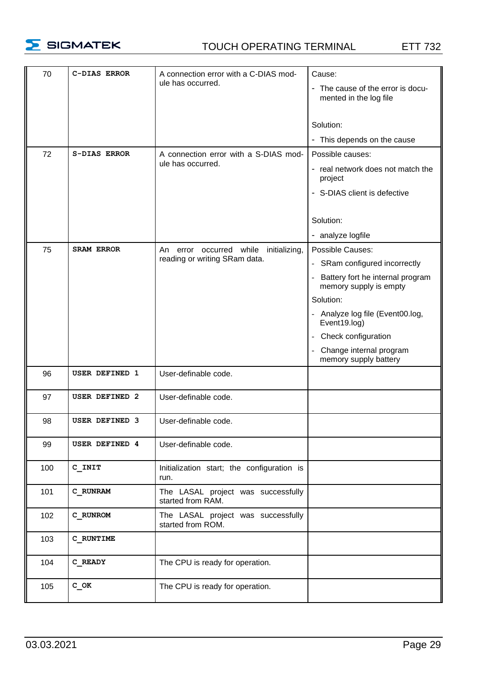

#### TOUCH OPERATING TERMINAL ETT 732

| 70  | C-DIAS ERROR          | A connection error with a C-DIAS mod-<br>ule has occurred.             | Cause:<br>The cause of the error is docu-<br>mented in the log file |
|-----|-----------------------|------------------------------------------------------------------------|---------------------------------------------------------------------|
|     |                       |                                                                        | Solution:<br>- This depends on the cause                            |
| 72  | S-DIAS ERROR          | A connection error with a S-DIAS mod-                                  | Possible causes:                                                    |
|     |                       | ule has occurred.                                                      | - real network does not match the<br>project                        |
|     |                       |                                                                        | - S-DIAS client is defective                                        |
|     |                       |                                                                        | Solution:                                                           |
|     |                       |                                                                        | - analyze logfile                                                   |
| 75  | <b>SRAM ERROR</b>     | An error occurred while initializing,<br>reading or writing SRam data. | Possible Causes:                                                    |
|     |                       |                                                                        | - SRam configured incorrectly                                       |
|     |                       |                                                                        | - Battery fort he internal program<br>memory supply is empty        |
|     |                       |                                                                        | Solution:                                                           |
|     |                       |                                                                        | - Analyze log file (Event00.log,<br>Event19.log)                    |
|     |                       |                                                                        | - Check configuration                                               |
|     |                       |                                                                        | Change internal program<br>memory supply battery                    |
| 96  | USER DEFINED 1        | User-definable code.                                                   |                                                                     |
| 97  | <b>USER DEFINED 2</b> | User-definable code.                                                   |                                                                     |
| 98  | <b>USER DEFINED 3</b> | User-definable code.                                                   |                                                                     |
| 99  | <b>USER DEFINED 4</b> | User-definable code.                                                   |                                                                     |
| 100 | C INIT                | Initialization start; the configuration is<br>run.                     |                                                                     |
| 101 | C RUNRAM              | The LASAL project was successfully<br>started from RAM.                |                                                                     |
| 102 | C RUNROM              | The LASAL project was successfully<br>started from ROM.                |                                                                     |
| 103 | C RUNTIME             |                                                                        |                                                                     |
| 104 | C READY               | The CPU is ready for operation.                                        |                                                                     |
| 105 | с ок                  | The CPU is ready for operation.                                        |                                                                     |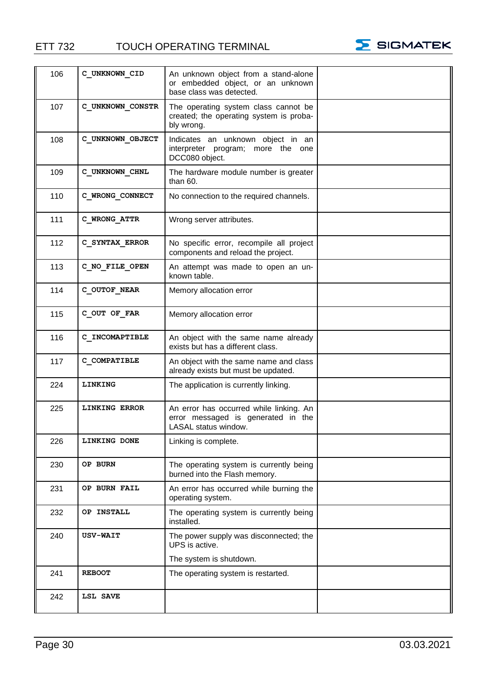ETT 732 TOUCH OPERATING TERMINAL



| 106 | C UNKNOWN CID        | An unknown object from a stand-alone<br>or embedded object, or an unknown<br>base class was detected. |  |
|-----|----------------------|-------------------------------------------------------------------------------------------------------|--|
| 107 | C UNKNOWN CONSTR     | The operating system class cannot be<br>created; the operating system is proba-<br>bly wrong.         |  |
| 108 | C UNKNOWN OBJECT     | Indicates an unknown object in an<br>interpreter program; more the one<br>DCC080 object.              |  |
| 109 | C UNKNOWN CHNL       | The hardware module number is greater<br>than $60.$                                                   |  |
| 110 | C WRONG CONNECT      | No connection to the required channels.                                                               |  |
| 111 | C WRONG ATTR         | Wrong server attributes.                                                                              |  |
| 112 | C SYNTAX ERROR       | No specific error, recompile all project<br>components and reload the project.                        |  |
| 113 | C NO FILE OPEN       | An attempt was made to open an un-<br>known table.                                                    |  |
| 114 | C OUTOF NEAR         | Memory allocation error                                                                               |  |
| 115 | C OUT OF FAR         | Memory allocation error                                                                               |  |
| 116 | C INCOMAPTIBLE       | An object with the same name already<br>exists but has a different class.                             |  |
| 117 | C COMPATIBLE         | An object with the same name and class<br>already exists but must be updated.                         |  |
| 224 | LINKING              | The application is currently linking.                                                                 |  |
| 225 | <b>LINKING ERROR</b> | An error has occurred while linking. An<br>error messaged is generated in the<br>LASAL status window. |  |
| 226 | LINKING DONE         | Linking is complete.                                                                                  |  |
| 230 | OP BURN              | The operating system is currently being<br>burned into the Flash memory.                              |  |
| 231 | OP BURN FAIL         | An error has occurred while burning the<br>operating system.                                          |  |
| 232 | OP INSTALL           | The operating system is currently being<br>installed.                                                 |  |
| 240 | <b>USV-WAIT</b>      | The power supply was disconnected; the<br>UPS is active.                                              |  |
| 241 | <b>REBOOT</b>        | The system is shutdown.<br>The operating system is restarted.                                         |  |
|     |                      |                                                                                                       |  |
| 242 | LSL SAVE             |                                                                                                       |  |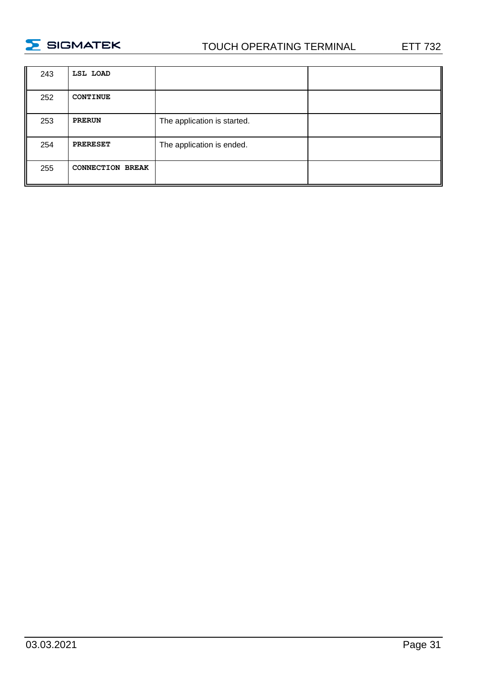

#### TOUCH OPERATING TERMINAL ETT 732

| 243 | LSL LOAD                |                             |  |
|-----|-------------------------|-----------------------------|--|
| 252 | <b>CONTINUE</b>         |                             |  |
| 253 | <b>PRERUN</b>           | The application is started. |  |
| 254 | <b>PRERESET</b>         | The application is ended.   |  |
| 255 | <b>CONNECTION BREAK</b> |                             |  |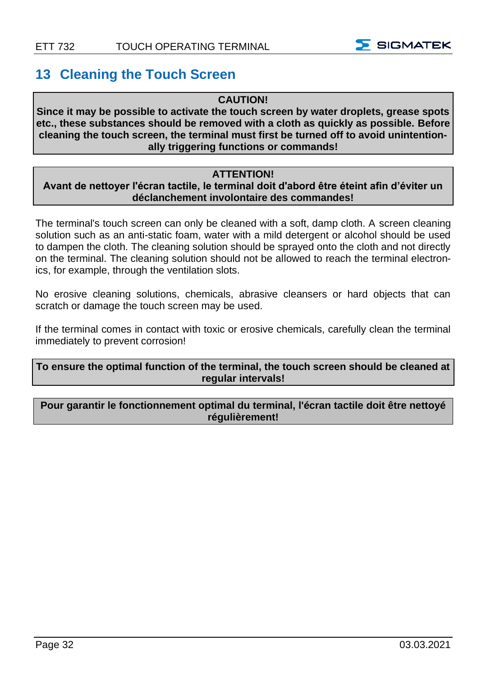

#### <span id="page-33-0"></span>**13 Cleaning the Touch Screen**

#### **CAUTION!**

**Since it may be possible to activate the touch screen by water droplets, grease spots etc., these substances should be removed with a cloth as quickly as possible. Before cleaning the touch screen, the terminal must first be turned off to avoid unintentionally triggering functions or commands!**

#### **ATTENTION!**

#### **Avant de nettoyer l'écran tactile, le terminal doit d'abord être éteint afin d'éviter un déclanchement involontaire des commandes!**

The terminal's touch screen can only be cleaned with a soft, damp cloth. A screen cleaning solution such as an anti-static foam, water with a mild detergent or alcohol should be used to dampen the cloth. The cleaning solution should be sprayed onto the cloth and not directly on the terminal. The cleaning solution should not be allowed to reach the terminal electronics, for example, through the ventilation slots.

No erosive cleaning solutions, chemicals, abrasive cleansers or hard objects that can scratch or damage the touch screen may be used.

If the terminal comes in contact with toxic or erosive chemicals, carefully clean the terminal immediately to prevent corrosion!

#### **To ensure the optimal function of the terminal, the touch screen should be cleaned at regular intervals!**

#### **Pour garantir le fonctionnement optimal du terminal, l'écran tactile doit être nettoyé régulièrement!**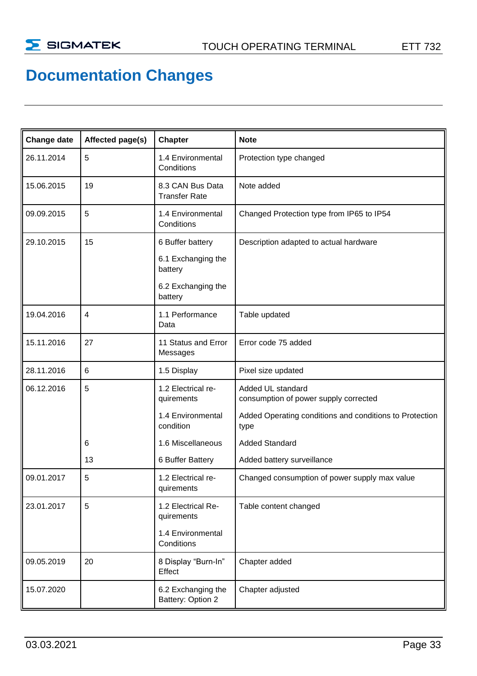## **Documentation Changes**

| Change date | Affected page(s) | Chapter                                  | <b>Note</b>                                                     |
|-------------|------------------|------------------------------------------|-----------------------------------------------------------------|
| 26.11.2014  | 5                | 1.4 Environmental<br>Conditions          | Protection type changed                                         |
| 15.06.2015  | 19               | 8.3 CAN Bus Data<br><b>Transfer Rate</b> | Note added                                                      |
| 09.09.2015  | 5                | 1.4 Environmental<br>Conditions          | Changed Protection type from IP65 to IP54                       |
| 29.10.2015  | 15               | 6 Buffer battery                         | Description adapted to actual hardware                          |
|             |                  | 6.1 Exchanging the<br>battery            |                                                                 |
|             |                  | 6.2 Exchanging the<br>battery            |                                                                 |
| 19.04.2016  | $\overline{4}$   | 1.1 Performance<br>Data                  | Table updated                                                   |
| 15.11.2016  | 27               | 11 Status and Error<br>Messages          | Error code 75 added                                             |
| 28.11.2016  | 6                | 1.5 Display                              | Pixel size updated                                              |
| 06.12.2016  | 5                | 1.2 Electrical re-<br>quirements         | Added UL standard<br>consumption of power supply corrected      |
|             |                  | 1.4 Environmental<br>condition           | Added Operating conditions and conditions to Protection<br>type |
|             | 6                | 1.6 Miscellaneous                        | <b>Added Standard</b>                                           |
|             | 13               | 6 Buffer Battery                         | Added battery surveillance                                      |
| 09.01.2017  | 5                | 1.2 Electrical re-<br>quirements         | Changed consumption of power supply max value                   |
| 23.01.2017  | 5                | 1.2 Electrical Re-<br>quirements         | Table content changed                                           |
|             |                  | 1.4 Environmental<br>Conditions          |                                                                 |
| 09.05.2019  | 20               | 8 Display "Burn-In"<br>Effect            | Chapter added                                                   |
| 15.07.2020  |                  | 6.2 Exchanging the<br>Battery: Option 2  | Chapter adjusted                                                |